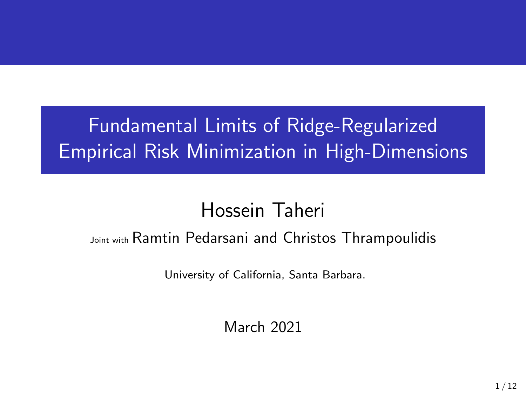# Fundamental Limits of Ridge-Regularized Empirical Risk Minimization in High-Dimensions

# Hossein Taheri

## Joint with Ramtin Pedarsani and Christos Thrampoulidis

University of California, Santa Barbara.

March 2021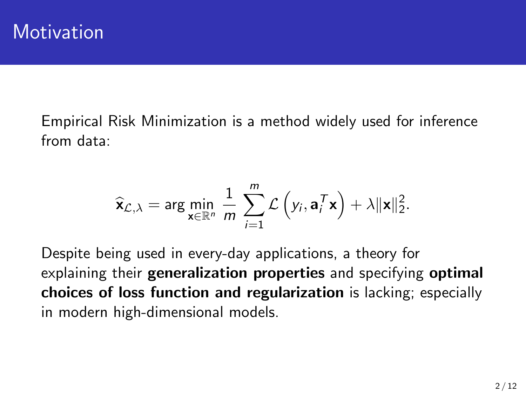Empirical Risk Minimization is a method widely used for inference from data:

$$
\widehat{\mathbf{x}}_{\mathcal{L},\lambda} = \arg \min_{\mathbf{x} \in \mathbb{R}^n} \frac{1}{m} \sum_{i=1}^m \mathcal{L} \left( y_i, \mathbf{a}_i^T \mathbf{x} \right) + \lambda \|\mathbf{x}\|_2^2.
$$

Despite being used in every-day applications, a theory for explaining their generalization properties and specifying optimal choices of loss function and regularization is lacking; especially in modern high-dimensional models.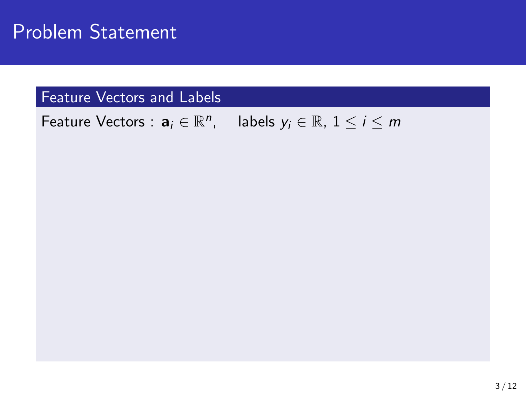Feature Vectors :  $a_i \in \mathbb{R}^n$ , labels  $y_i \in \mathbb{R}$ ,  $1 \le i \le m$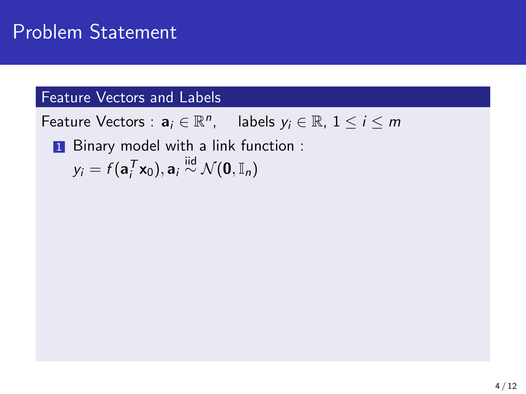Feature Vectors :  $a_i \in \mathbb{R}^n$ , labels  $y_i \in \mathbb{R}$ ,  $1 \le i \le m$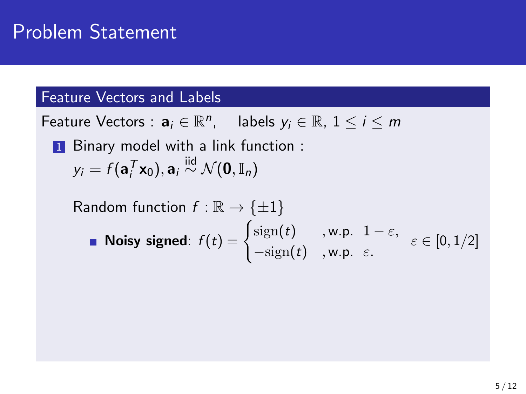Feature Vectors :  $a_i \in \mathbb{R}^n$ , labels  $y_i \in \mathbb{R}$ ,  $1 \le i \le m$ 

Random function 
$$
f : \mathbb{R} \to \{\pm 1\}
$$
  
\n■ **Noisy signed**:  $f(t) = \begin{cases} sign(t) & ,w.p. & 1 - \varepsilon, \\ -sign(t) & ,w.p. & \varepsilon. \end{cases} \in [0, 1/2]$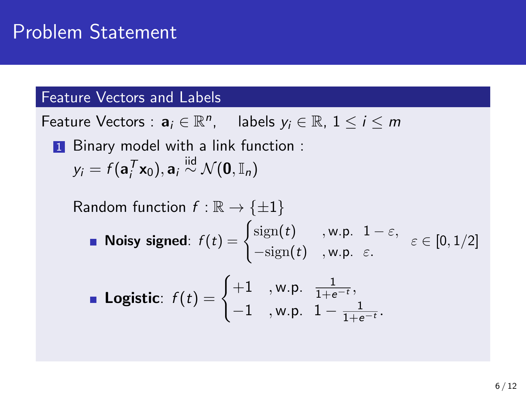Feature Vectors :  $a_i \in \mathbb{R}^n$ , labels  $y_i \in \mathbb{R}$ ,  $1 \le i \le m$ 

Random function 
$$
f: \mathbb{R} \to \{\pm 1\}
$$

\n**Noisy signed:**  $f(t) = \begin{cases} \text{sign}(t) & \text{w.p. } 1 - \varepsilon, \\ -\text{sign}(t) & \text{w.p. } \varepsilon. \end{cases} \varepsilon \in [0, 1/2]$ 

\n**Logistic:**  $f(t) = \begin{cases} +1 & \text{w.p. } \frac{1}{1+e^{-t}}, \\ -1 & \text{w.p. } 1 - \frac{1}{1+e^{-t}}. \end{cases}$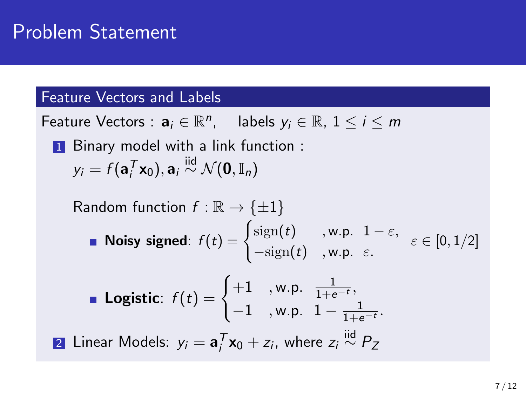Feature Vectors :  $a_i \in \mathbb{R}^n$ , labels  $y_i \in \mathbb{R}$ ,  $1 \le i \le m$ 

Random function 
$$
f: \mathbb{R} \to \{\pm 1\}
$$

\nNoisy signed:  $f(t) = \begin{cases} \text{sign}(t) & \text{, w.p. } 1 - \varepsilon, \\ -\text{sign}(t) & \text{, w.p. } \varepsilon. \end{cases} \in [0, 1/2]$ 

\nLogistic:  $f(t) = \begin{cases} +1 & \text{, w.p. } \frac{1}{1 + e^{-t}}, \\ -1 & \text{, w.p. } 1 - \frac{1}{1 + e^{-t}}. \end{cases}$ 

\nLinear Models:  $y_i = \mathbf{a}_i^T \mathbf{x}_0 + z_i$ , where  $z_i \stackrel{\text{iid}}{\sim} P_Z$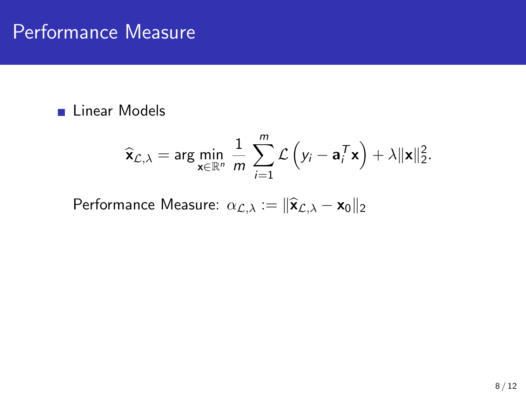#### **Linear Models**

$$
\widehat{\mathbf{x}}_{\mathcal{L},\lambda} = \arg \min_{\mathbf{x} \in \mathbb{R}^n} \frac{1}{m} \sum_{i=1}^m \mathcal{L} \left( y_i - \mathbf{a}_i^T \mathbf{x} \right) + \lambda \|\mathbf{x}\|_2^2.
$$

Performance Measure:  $\alpha_{\mathcal{L},\lambda} := \|\hat{\mathbf{x}}_{\mathcal{L},\lambda} - \mathbf{x}_0\|_2$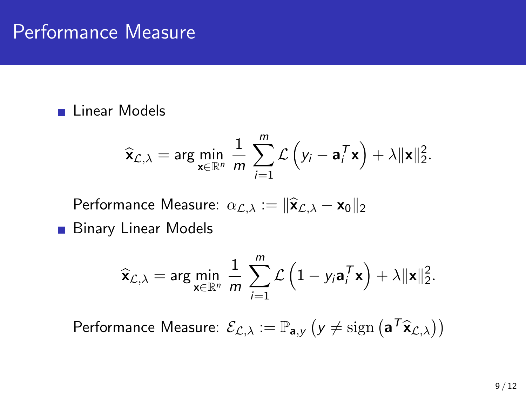#### **Linear Models**

$$
\widehat{\mathbf{x}}_{\mathcal{L},\lambda} = \arg \min_{\mathbf{x} \in \mathbb{R}^n} \frac{1}{m} \sum_{i=1}^m \mathcal{L} \left( y_i - \mathbf{a}_i^T \mathbf{x} \right) + \lambda \|\mathbf{x}\|_2^2.
$$

Performance Measure:  $\alpha_{\mathcal{L},\lambda} := \|\hat{\mathbf{x}}_{\mathcal{L},\lambda} - \mathbf{x}_0\|_2$ 

**Binary Linear Models** 

$$
\widehat{\mathbf{x}}_{\mathcal{L},\lambda} = \arg\min_{\mathbf{x}\in\mathbb{R}^n} \frac{1}{m} \sum_{i=1}^m \mathcal{L}\left(1 - y_i \mathbf{a}_i^T \mathbf{x}\right) + \lambda \|\mathbf{x}\|_2^2.
$$

Performance Measure:  $\mathcal{E}_{\mathcal{L},\lambda}:=\mathbb{P}_{\mathbf{a},y}\left(y\neq \mathrm{sign}\left(\mathbf{a}^T\widehat{\mathbf{x}}_{\mathcal{L},\lambda}\right)\right)$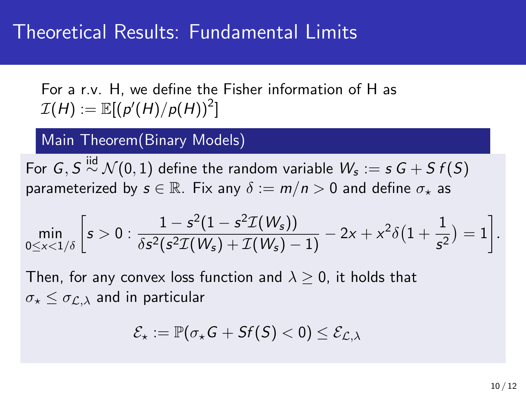For a r.v. H, we define the Fisher information of H as  $\mathcal{I}(H) := \mathbb{E}[ \left( p'(H)/p(H) \right)^2 ]$ 

Main Theorem(Binary Models)

For  $\,G, S \stackrel{\text{iid}}{\sim} \mathcal{N}(0,1)$  define the random variable  $\,\mathcal{W}_{\!s}:=s\,G + S\,f(S)\,$ parameterized by  $s \in \mathbb{R}$ . Fix any  $\delta := m/n > 0$  and define  $\sigma_{\star}$  as

$$
\min_{0 \le x < 1/\delta} \left[ s > 0 : \frac{1 - s^2 (1 - s^2 \mathcal{I}(W_s))}{\delta s^2 (s^2 \mathcal{I}(W_s) + \mathcal{I}(W_s) - 1)} - 2x + x^2 \delta \left( 1 + \frac{1}{s^2} \right) = 1 \right].
$$

Then, for any convex loss function and  $\lambda > 0$ , it holds that  $\sigma_{\star} \leq \sigma_{\mathcal{L},\lambda}$  and in particular

$$
\mathcal{E}_\star := \mathbb{P}(\sigma_\star \mathsf{G} + \mathsf{S} \mathsf{f}(\mathsf{S}) < 0) \leq \mathcal{E}_{\mathcal{L},\lambda}
$$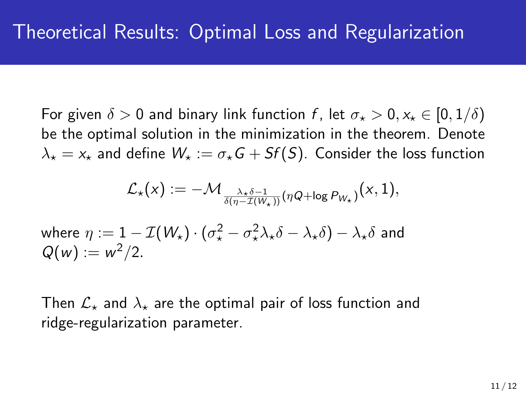For given  $\delta > 0$  and binary link function f, let  $\sigma_{\star} > 0, x_{\star} \in [0, 1/\delta)$ be the optimal solution in the minimization in the theorem. Denote  $\lambda_{\star} = x_{\star}$  and define  $W_{\star} := \sigma_{\star}G + Sf(S)$ . Consider the loss function

$$
\mathcal{L}_{\star}(x) := -\mathcal{M}_{\frac{\lambda_{\star}\delta - 1}{\delta(\eta - \mathcal{I}(W_{\star}))}(\eta Q + \log P_{W_{\star}})}(x, 1),
$$

where 
$$
\eta := 1 - \mathcal{I}(W_{\star}) \cdot (\sigma_{\star}^2 - \sigma_{\star}^2 \lambda_{\star} \delta - \lambda_{\star} \delta) - \lambda_{\star} \delta
$$
 and  $Q(w) := w^2/2$ .

Then  $\mathcal{L}_{\star}$  and  $\lambda_{\star}$  are the optimal pair of loss function and ridge-regularization parameter.